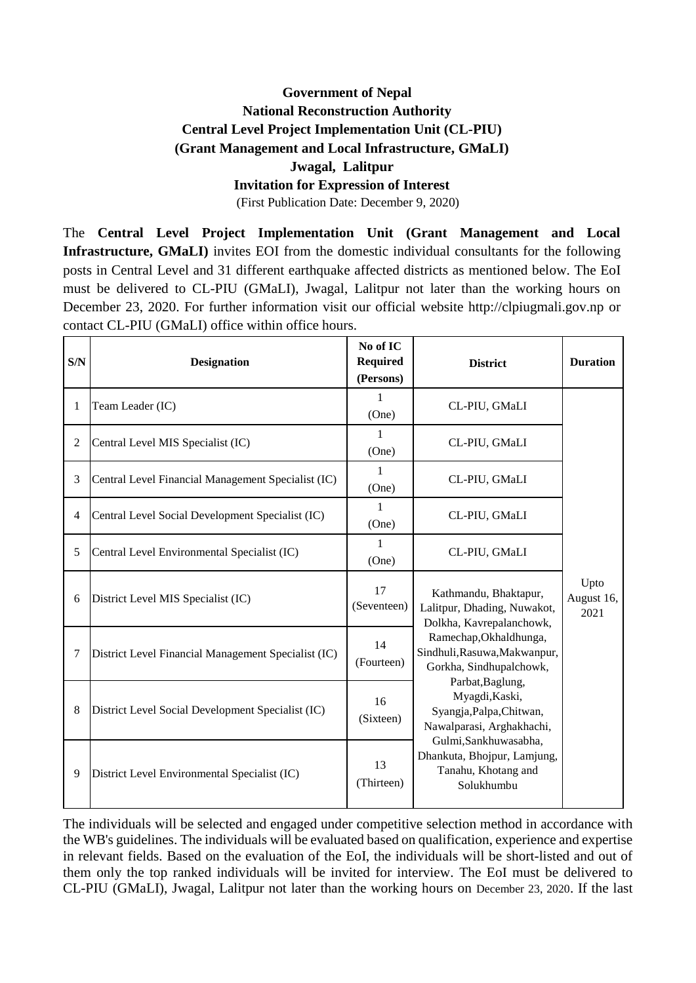## **Government of Nepal National Reconstruction Authority Central Level Project Implementation Unit (CL-PIU) (Grant Management and Local Infrastructure, GMaLI) Jwagal, Lalitpur**

## **Invitation for Expression of Interest**

(First Publication Date: December 9, 2020)

The **Central Level Project Implementation Unit (Grant Management and Local Infrastructure, GMaLI)** invites EOI from the domestic individual consultants for the following posts in Central Level and 31 different earthquake affected districts as mentioned below. The EoI must be delivered to CL-PIU (GMaLI), Jwagal, Lalitpur not later than the working hours on December 23, 2020. For further information visit our official website http://clpiugmali.gov.np or contact CL-PIU (GMaLI) office within office hours.

| S/N            | <b>Designation</b>                                  | No of IC<br><b>Required</b><br>(Persons) | <b>District</b>                                                                                                                                                                                                                                                                                                                                                   | <b>Duration</b>            |
|----------------|-----------------------------------------------------|------------------------------------------|-------------------------------------------------------------------------------------------------------------------------------------------------------------------------------------------------------------------------------------------------------------------------------------------------------------------------------------------------------------------|----------------------------|
| 1              | Team Leader (IC)                                    | 1<br>(One)                               | CL-PIU, GMaLI                                                                                                                                                                                                                                                                                                                                                     |                            |
| $\overline{2}$ | Central Level MIS Specialist (IC)                   | 1<br>(One)                               | CL-PIU, GMaLI                                                                                                                                                                                                                                                                                                                                                     |                            |
| 3              | Central Level Financial Management Specialist (IC)  | 1<br>(One)                               | CL-PIU, GMaLI                                                                                                                                                                                                                                                                                                                                                     |                            |
| 4              | Central Level Social Development Specialist (IC)    | 1<br>(One)                               | CL-PIU, GMaLI                                                                                                                                                                                                                                                                                                                                                     |                            |
| 5              | Central Level Environmental Specialist (IC)         | 1<br>(One)                               | CL-PIU, GMaLI                                                                                                                                                                                                                                                                                                                                                     | Upto<br>August 16,<br>2021 |
| 6              | District Level MIS Specialist (IC)                  | 17<br>(Seventeen)                        | Kathmandu, Bhaktapur,<br>Lalitpur, Dhading, Nuwakot,<br>Dolkha, Kavrepalanchowk,<br>Ramechap, Okhaldhunga,<br>Sindhuli, Rasuwa, Makwanpur,<br>Gorkha, Sindhupalchowk,<br>Parbat, Baglung,<br>Myagdi, Kaski,<br>Syangja, Palpa, Chitwan,<br>Nawalparasi, Arghakhachi,<br>Gulmi, Sankhuwasabha,<br>Dhankuta, Bhojpur, Lamjung,<br>Tanahu, Khotang and<br>Solukhumbu |                            |
| 7              | District Level Financial Management Specialist (IC) | 14<br>(Fourteen)                         |                                                                                                                                                                                                                                                                                                                                                                   |                            |
| 8              | District Level Social Development Specialist (IC)   | 16<br>(Sixteen)                          |                                                                                                                                                                                                                                                                                                                                                                   |                            |
| 9              | District Level Environmental Specialist (IC)        | 13<br>(Thirteen)                         |                                                                                                                                                                                                                                                                                                                                                                   |                            |

The individuals will be selected and engaged under competitive selection method in accordance with the WB's guidelines. The individuals will be evaluated based on qualification, experience and expertise in relevant fields. Based on the evaluation of the EoI, the individuals will be short-listed and out of them only the top ranked individuals will be invited for interview. The EoI must be delivered to CL-PIU (GMaLI), Jwagal, Lalitpur not later than the working hours on December 23, 2020. If the last